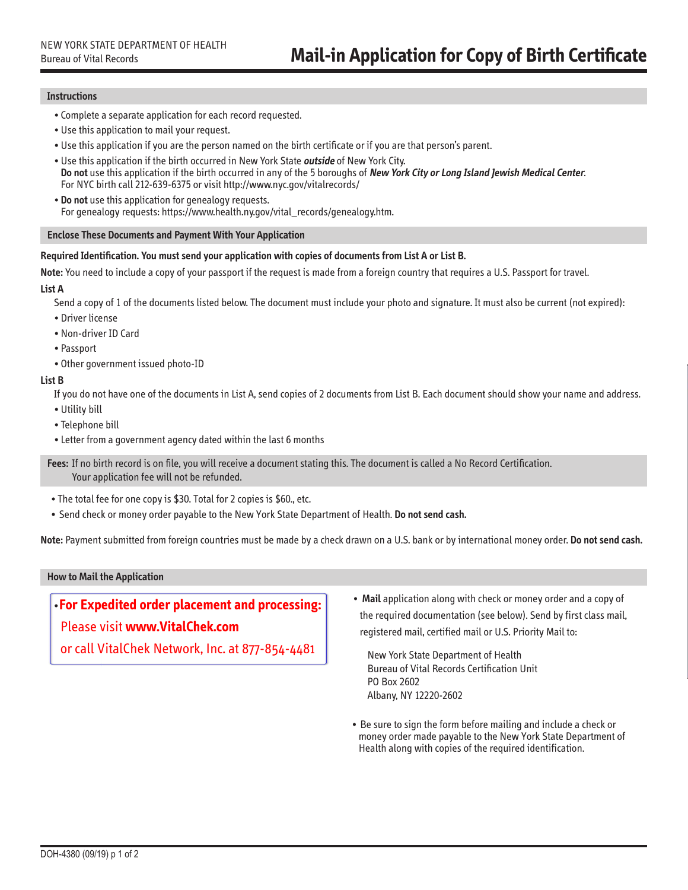# **Instructions**

- Complete a separate application for each record requested.
- •Use this application to mail your request.
- •Use this application if you are the person named on the birth certificate or if you are that person's parent.
- •Use this application if the birth occurred in New York State **outside** of [New York City.](http://www.nyc.gov/vitalrecords/)  **Do not** use this application if the birth occurred in any of the 5 boroughs of **New York City or Long Island Jewish Medical Center**. For NYC birth call 212-639-6375 or visit http://www.nyc.gov/vitalrecords/
- **Do not** use this application for genealogy requests. For genealogy requests: https://www.health.ny.gov/vital\_records/genealogy.htm.

## **Enclose These Documents and Payment With Your Application**

#### **Required Identification. You must send your application with copies of documents from List A or List B.**

**Note:** You need to include a copy of your passport if the request is made from a foreign country that requires a U.S. Passport for travel.

#### **List A**

Send a copy of 1 of the documents listed below. The document must include your photo and signature. It must also be current (not expired):

- •Driver license
- •Non-driver ID Card
- Passport
- •Other government issued photo-ID

## **List B**

If you do not have one of the documents in List A, send copies of 2 documents from List B. Each document should show your name and address.

- •Utility bill
- Telephone bill
- Letter from a government agency dated within the last 6 months

**Fees:** If no birth record is on file, you will receive a document stating this. The document is called a No Record Certification. Your application fee will not be refunded.

- The total fee for one copy is \$30. Total for 2 copies is \$60., etc.
- Send check or money order payable to the New York State Department of Health. **Do not send cash.**

**Note:** Payment submitted from foreign countries must be made by a check drawn on a U.S. bank or by international money order. **Do not send cash.**

# **How to Mail the Application**

•**For Expedited order placement and processing:**

Please visit **www.VitalChek.com**

or call VitalChek Network, Inc. at 877-854-4481

• **Mail** application along with check or money order and a copy of the required documentation (see below). Send by first class mail, registered mail, certified mail or U.S. Priority Mail to:

New York State Department of Health Bureau of Vital Records Certification Unit PO Box 2602 Albany, NY 12220-2602

• Be sure to sign the form before mailing and include a check or money order made payable to the New York State Department of Health along with copies of the required identification.